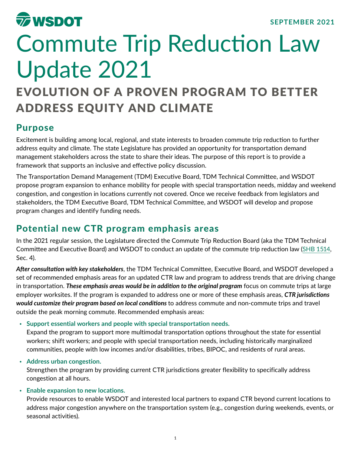

# Commute Trip Reduction Law Update 2021

## EVOLUTION OF A PROVEN PROGRAM TO BETTER ADDRESS EQUITY AND CLIMATE

### Purpose

Excitement is building among local, regional, and state interests to broaden commute trip reduction to further address equity and climate. The state Legislature has provided an opportunity for transportation demand management stakeholders across the state to share their ideas. The purpose of this report is to provide a framework that supports an inclusive and effective policy discussion.

The Transportation Demand Management (TDM) Executive Board, TDM Technical Committee, and WSDOT propose program expansion to enhance mobility for people with special transportation needs, midday and weekend congestion, and congestion in locations currently not covered. Once we receive feedback from legislators and stakeholders, the TDM Executive Board, TDM Technical Committee, and WSDOT will develop and propose program changes and identify funding needs.

## Potential new CTR program emphasis areas

In the 2021 regular session, the Legislature directed the Commute Trip Reduction Board (aka the TDM Technical Committee and Executive Board) and WSDOT to conduct an update of the commute trip reduction law (SHB [1514](http://lawfilesext.leg.wa.gov/biennium/2021-22/Pdf/Bills/Session%20Laws/House/1514-S.SL.pdf?q=20210513134527), Sec. 4).

*After consultation with key stakeholders*, the TDM Technical Committee, Executive Board, and WSDOT developed a set of recommended emphasis areas for an updated CTR law and program to address trends that are driving change in transportation. *These emphasis areas would be in addition to the original program* focus on commute trips at large employer worksites. If the program is expanded to address one or more of these emphasis areas, *CTR jurisdictions would customize their program based on local conditions* to address commute and non-commute trips and travel outside the peak morning commute. Recommended emphasis areas:

• **Support essential workers and people with special transportation needs.**

Expand the program to support more multimodal transportation options throughout the state for essential workers; shift workers; and people with special transportation needs, including historically marginalized communities, people with low incomes and/or disabilities, tribes, BIPOC, and residents of rural areas.

#### • **Address urban congestion.**

Strengthen the program by providing current CTR jurisdictions greater flexibility to specifically address congestion at all hours.

#### • **Enable expansion to new locations.**

Provide resources to enable WSDOT and interested local partners to expand CTR beyond current locations to address major congestion anywhere on the transportation system (e.g., congestion during weekends, events, or seasonal activities).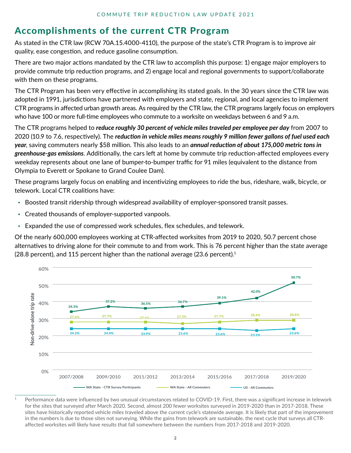## Accomplishments of the current CTR Program

As stated in the CTR law (RCW 70A.15.4000-4110), the purpose of the state's CTR Program is to improve air quality, ease congestion, and reduce gasoline consumption.

There are two major actions mandated by the CTR law to accomplish this purpose: 1) engage major employers to provide commute trip reduction programs, and 2) engage local and regional governments to support/collaborate with them on these programs.

The CTR Program has been very effective in accomplishing its stated goals. In the 30 years since the CTR law was adopted in 1991, jurisdictions have partnered with employers and state, regional, and local agencies to implement CTR programs in affected urban growth areas. As required by the CTR law, the CTR programs largely focus on employers who have 100 or more full-time employees who commute to a worksite on weekdays between 6 and 9 a.m.

The CTR programs helped to *reduce roughly 30 percent of vehicle miles traveled per employee per day* from 2007 to 2020 (10.9 to 7.6, respectively). The *reduction in vehicle miles means roughly 9 million fewer gallons of fuel used each year*, saving commuters nearly \$58 million. This also leads to an *annual reduction of about 175,000 metric tons in greenhouse-gas emissions*. Additionally, the cars left at home by commute trip reduction-affected employees every weekday represents about one lane of bumper-to-bumper traffic for 91 miles (equivalent to the distance from Olympia to Everett or Spokane to Grand Coulee Dam).

These programs largely focus on enabling and incentivizing employees to ride the bus, rideshare, walk, bicycle, or telework. Local CTR coalitions have:

- Boosted transit ridership through widespread availability of employer-sponsored transit passes.
- Created thousands of employer-supported vanpools.
- Expanded the use of compressed work schedules, flex schedules, and telework.

Of the nearly 600,000 employees working at CTR-affected worksites from 2019 to 2020, 50.7 percent chose alternatives to driving alone for their commute to and from work. This is 76 percent higher than the state average (28.8 percent), and 115 percent higher than the national average (23.6 percent).<sup>1</sup>



<sup>1</sup> Performance data were influenced by two unusual circumstances related to COVID-19. First, there was a significant increase in telework for the sites that surveyed after March 2020. Second, almost 200 fewer worksites surveyed in 2019-2020 than in 2017-2018. These sites have historically reported vehicle miles traveled above the current cycle's statewide average. It is likely that part of the improvement in the numbers is due to those sites not surveying. While the gains from telework are sustainable, the next cycle that surveys all CTRaffected worksites will likely have results that fall somewhere between the numbers from 2017-2018 and 2019-2020.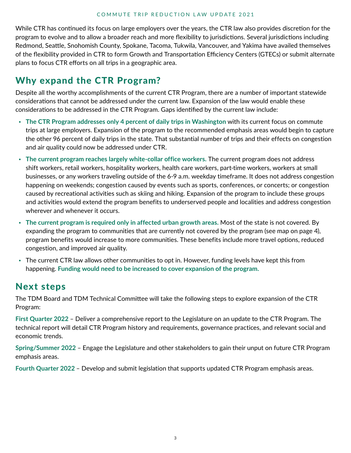While CTR has continued its focus on large employers over the years, the CTR law also provides discretion for the program to evolve and to allow a broader reach and more flexibility to jurisdictions. Several jurisdictions including Redmond, Seattle, Snohomish County, Spokane, Tacoma, Tukwila, Vancouver, and Yakima have availed themselves of the flexibility provided in CTR to form Growth and Transportation Efficiency Centers (GTECs) or submit alternate plans to focus CTR efforts on all trips in a geographic area.

## Why expand the CTR Program?

Despite all the worthy accomplishments of the current CTR Program, there are a number of important statewide considerations that cannot be addressed under the current law. Expansion of the law would enable these considerations to be addressed in the CTR Program. Gaps identified by the current law include:

- **The CTR Program addresses only 4 percent of daily trips in Washington** with its current focus on commute trips at large employers. Expansion of the program to the recommended emphasis areas would begin to capture the other 96 percent of daily trips in the state. That substantial number of trips and their effects on congestion and air quality could now be addressed under CTR.
- **The current program reaches largely white-collar office workers.** The current program does not address shift workers, retail workers, hospitality workers, health care workers, part-time workers, workers at small businesses, or any workers traveling outside of the 6-9 a.m. weekday timeframe. It does not address congestion happening on weekends; congestion caused by events such as sports, conferences, or concerts; or congestion caused by recreational activities such as skiing and hiking. Expansion of the program to include these groups and activities would extend the program benefits to underserved people and localities and address congestion wherever and whenever it occurs.
- **The current program is required only in affected urban growth areas.** Most of the state is not covered. By expanding the program to communities that are currently not covered by the program (see map on page 4), program benefits would increase to more communities. These benefits include more travel options, reduced congestion, and improved air quality.
- The current CTR law allows other communities to opt in. However, funding levels have kept this from happening. **Funding would need to be increased to cover expansion of the program.**

## Next steps

The TDM Board and TDM Technical Committee will take the following steps to explore expansion of the CTR Program:

**First Quarter 2022** – Deliver a comprehensive report to the Legislature on an update to the CTR Program. The technical report will detail CTR Program history and requirements, governance practices, and relevant social and economic trends.

**Spring/Summer 2022** – Engage the Legislature and other stakeholders to gain their unput on future CTR Program emphasis areas.

**Fourth Quarter 2022** – Develop and submit legislation that supports updated CTR Program emphasis areas.